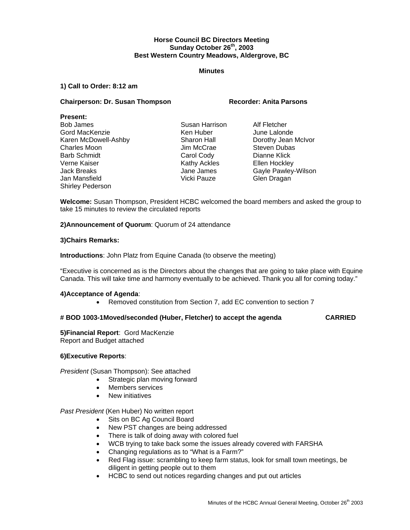# **Horse Council BC Directors Meeting Sunday October 26th, 2003 Best Western Country Meadows, Aldergrove, BC**

## **Minutes**

## **1) Call to Order: 8:12 am**

# **Chairperson: Dr. Susan Thompson Recorder: Anita Parsons**

## **Present:**

Bob James **Susan Harrison** Alf Fletcher Gord MacKenzie **Ken Huber** Ken Huber Mune Lalonde Karen McDowell-Ashby Sharon Hall Borothy Jean McIvor<br>Charles Moon Charles Moon Jim McCrae Steven Dubas Charles Moon **Charles Moon** Jim McCrae Steven Dubas Barb Schmidt Carol Cody Carol Cody Dianne Klick Verne Kaiser Nathy Ackles Clean Hockley Jack Breaks Jane James Gayle Pawley-Wilson Jan Mansfield Vicki Pauze Glen Dragan Shirley Pederson

**Welcome:** Susan Thompson, President HCBC welcomed the board members and asked the group to take 15 minutes to review the circulated reports

**2)Announcement of Quorum**: Quorum of 24 attendance

# **3)Chairs Remarks:**

**Introductions**: John Platz from Equine Canada (to observe the meeting)

"Executive is concerned as is the Directors about the changes that are going to take place with Equine Canada. This will take time and harmony eventually to be achieved. Thank you all for coming today."

## **4)Acceptance of Agenda**:

• Removed constitution from Section 7, add EC convention to section 7

## **# BOD 1003-1Moved/seconded (Huber, Fletcher) to accept the agenda CARRIED**

**5)Financial Report**: Gord MacKenzie Report and Budget attached

## **6)Executive Reports**:

*President* (Susan Thompson): See attached

- Strategic plan moving forward
- Members services
- New initiatives

*Past President* (Ken Huber) No written report

- Sits on BC Ag Council Board
- New PST changes are being addressed
- There is talk of doing away with colored fuel
- WCB trying to take back some the issues already covered with FARSHA
- Changing regulations as to "What is a Farm?"
- Red Flag issue: scrambling to keep farm status, look for small town meetings, be diligent in getting people out to them
- HCBC to send out notices regarding changes and put out articles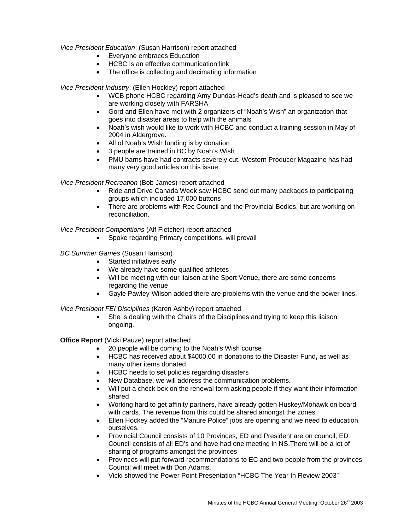# *Vice President Education*: (Susan Harrison) report attached

- Everyone embraces Education
- HCBC is an effective communication link
- The office is collecting and decimating information

*Vice President Industry*: (Ellen Hockley) report attached

- WCB phone HCBC regarding Amy Dundas-Head's death and is pleased to see we are working closely with FARSHA
- Gord and Ellen have met with 2 organizers of "Noah's Wish" an organization that goes into disaster areas to help with the animals
- Noah's wish would like to work with HCBC and conduct a training session in May of 2004 in Aldergrove.
- All of Noah's Wish funding is by donation
- 3 people are trained in BC by Noah's Wish
- PMU barns have had contracts severely cut. Western Producer Magazine has had many very good articles on this issue.

*Vice President Recreation* (Bob James) report attached

- Ride and Drive Canada Week saw HCBC send out many packages to participating groups which included 17,000 buttons
- There are problems with Rec Council and the Provincial Bodies, but are working on reconciliation.

*Vice President Competitions* (Alf Fletcher) report attached

- Spoke regarding Primary competitions, will prevail
- *BC Summer Games* (Susan Harrison)
	- Started initiatives early
	- We already have some qualified athletes
	- Will be meeting with our liaison at the Sport Venue**,** there are some concerns regarding the venue
	- Gayle Pawley-Wilson added there are problems with the venue and the power lines.

*Vice President FEI Disciplines* (Karen Ashby) report attached

She is dealing with the Chairs of the Disciplines and trying to keep this liaison ongoing.

**Office Report** (Vicki Pauze) report attached

- 20 people will be coming to the Noah's Wish course
- HCBC has received about \$4000.00 in donations to the Disaster Fund**,** as well as many other items donated.
- HCBC needs to set policies regarding disasters
- New Database, we will address the communication problems.
- Will put a check box on the renewal form asking people if they want their information shared
- Working hard to get affinity partners, have already gotten Huskey/Mohawk on board with cards. The revenue from this could be shared amongst the zones
- Ellen Hockey added the "Manure Police" jobs are opening and we need to education ourselves.
- Provincial Council consists of 10 Provinces, ED and President are on council, ED Council consists of all ED's and have had one meeting in NS.There will be a lot of sharing of programs amongst the provinces
- Provinces will put forward recommendations to EC and two people from the provinces Council will meet with Don Adams.
- Vicki showed the Power Point Presentation "HCBC The Year In Review 2003"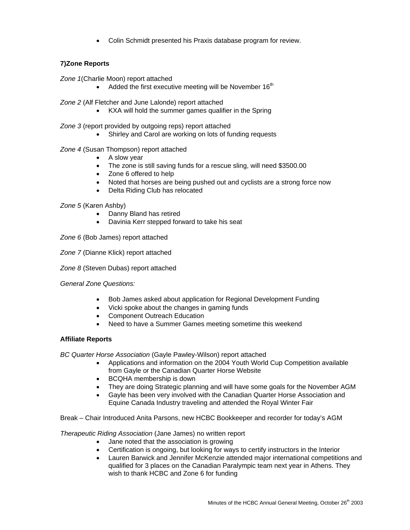• Colin Schmidt presented his Praxis database program for review.

# **7)Zone Reports**

*Zone 1*(Charlie Moon) report attached

• Added the first executive meeting will be November  $16<sup>th</sup>$ 

*Zone 2* (Alf Fletcher and June Lalonde) report attached

• KXA will hold the summer games qualifier in the Spring

*Zone 3* (report provided by outgoing reps) report attached

• Shirley and Carol are working on lots of funding requests

# *Zone 4* (Susan Thompson) report attached

- A slow year
- The zone is still saving funds for a rescue sling, will need \$3500.00
- Zone 6 offered to help
- Noted that horses are being pushed out and cyclists are a strong force now
- Delta Riding Club has relocated

## *Zone 5* (Karen Ashby)

- Danny Bland has retired
- Davinia Kerr stepped forward to take his seat

*Zone 6* (Bob James) report attached

*Zone 7* (Dianne Klick) report attached

*Zone 8* (Steven Dubas) report attached

## *General Zone Questions:*

- Bob James asked about application for Regional Development Funding
- Vicki spoke about the changes in gaming funds
- Component Outreach Education
- Need to have a Summer Games meeting sometime this weekend

## **Affiliate Reports**

*BC Quarter Horse Association* (Gayle Pawley-Wilson) report attached

- Applications and information on the 2004 Youth World Cup Competition available from Gayle or the Canadian Quarter Horse Website
- BCQHA membership is down
- They are doing Strategic planning and will have some goals for the November AGM
- Gayle has been very involved with the Canadian Quarter Horse Association and Equine Canada Industry traveling and attended the Royal Winter Fair
- Break Chair Introduced Anita Parsons, new HCBC Bookkeeper and recorder for today's AGM

*Therapeutic Riding Association* (Jane James) no written report

- Jane noted that the association is growing
- Certification is ongoing, but looking for ways to certify instructors in the Interior
- Lauren Barwick and Jennifer McKenzie attended major international competitions and qualified for 3 places on the Canadian Paralympic team next year in Athens. They wish to thank HCBC and Zone 6 for funding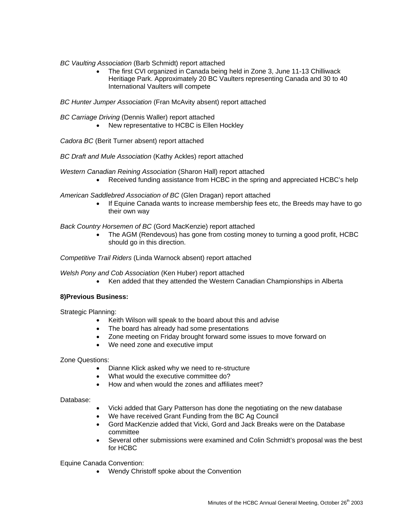*BC Vaulting Association* (Barb Schmidt) report attached

• The first CVI organized in Canada being held in Zone 3, June 11-13 Chilliwack Heritiage Park. Approximately 20 BC Vaulters representing Canada and 30 to 40 International Vaulters will compete

*BC Hunter Jumper Association* (Fran McAvity absent) report attached

*BC Carriage Driving* (Dennis Waller) report attached

• New representative to HCBC is Ellen Hockley

*Cadora BC* (Berit Turner absent) report attached

*BC Draft and Mule Association* (Kathy Ackles) report attached

*Western Canadian Reining Association* (Sharon Hall) report attached

• Received funding assistance from HCBC in the spring and appreciated HCBC's help

*American Saddlebred Association of BC* (Glen Dragan) report attached

• If Equine Canada wants to increase membership fees etc, the Breeds may have to go their own way

*Back Country Horsemen of BC* (Gord MacKenzie) report attached

• The AGM (Rendevous) has gone from costing money to turning a good profit, HCBC should go in this direction.

*Competitive Trail Riders* (Linda Warnock absent) report attached

*Welsh Pony and Cob Association* (Ken Huber) report attached

• Ken added that they attended the Western Canadian Championships in Alberta

## **8)Previous Business:**

Strategic Planning:

- Keith Wilson will speak to the board about this and advise
- The board has already had some presentations
- Zone meeting on Friday brought forward some issues to move forward on
- We need zone and executive imput

Zone Questions:

- Dianne Klick asked why we need to re-structure
- What would the executive committee do?
- How and when would the zones and affiliates meet?

Database:

- Vicki added that Gary Patterson has done the negotiating on the new database
- We have received Grant Funding from the BC Ag Council
- Gord MacKenzie added that Vicki, Gord and Jack Breaks were on the Database committee
- Several other submissions were examined and Colin Schmidt's proposal was the best for HCBC

Equine Canada Convention:

• Wendy Christoff spoke about the Convention